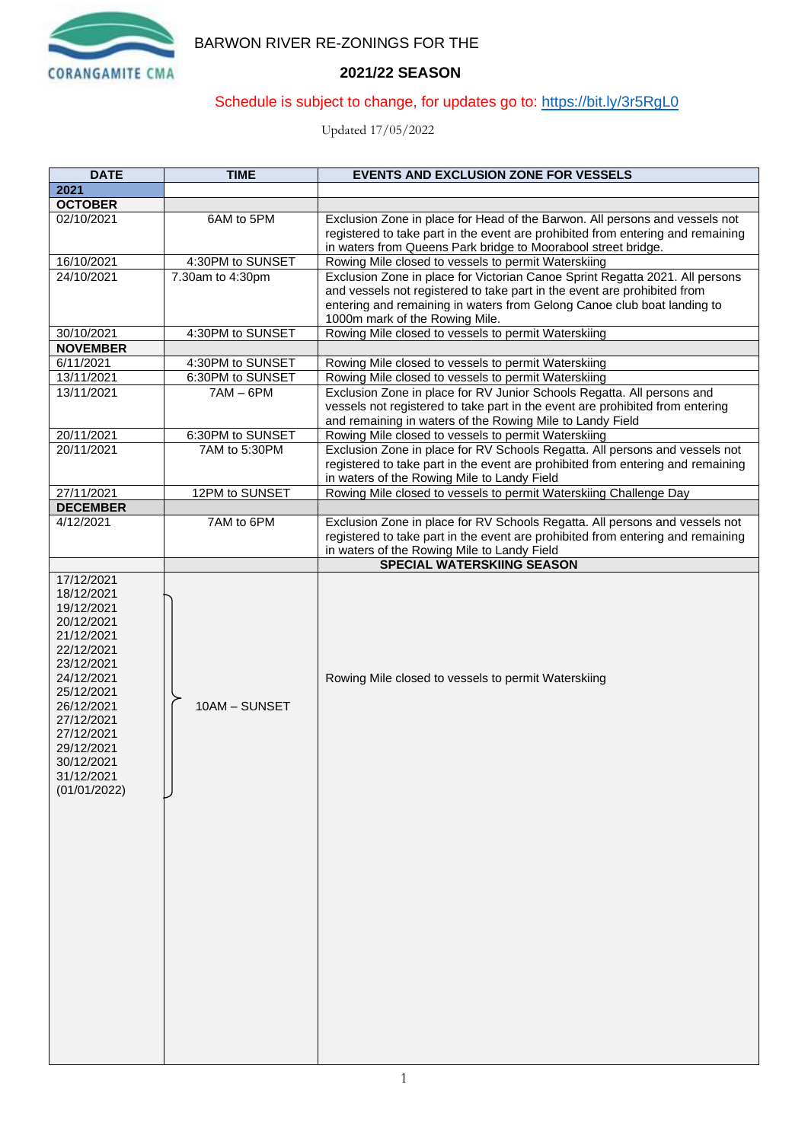

# BARWON RIVER RE-ZONINGS FOR THE

## **2021/22 SEASON**

## Schedule is subject to change, for updates go to:<https://bit.ly/3r5RgL0>

Updated 17/05/2022

| <b>DATE</b>                                                                                                                                                                                                                    | <b>TIME</b>      | <b>EVENTS AND EXCLUSION ZONE FOR VESSELS</b>                                                                                                                                                                                                                          |
|--------------------------------------------------------------------------------------------------------------------------------------------------------------------------------------------------------------------------------|------------------|-----------------------------------------------------------------------------------------------------------------------------------------------------------------------------------------------------------------------------------------------------------------------|
| 2021                                                                                                                                                                                                                           |                  |                                                                                                                                                                                                                                                                       |
| <b>OCTOBER</b>                                                                                                                                                                                                                 |                  |                                                                                                                                                                                                                                                                       |
| 02/10/2021                                                                                                                                                                                                                     | 6AM to 5PM       | Exclusion Zone in place for Head of the Barwon. All persons and vessels not<br>registered to take part in the event are prohibited from entering and remaining<br>in waters from Queens Park bridge to Moorabool street bridge.                                       |
| 16/10/2021                                                                                                                                                                                                                     | 4:30PM to SUNSET | Rowing Mile closed to vessels to permit Waterskiing                                                                                                                                                                                                                   |
| 24/10/2021                                                                                                                                                                                                                     | 7.30am to 4:30pm | Exclusion Zone in place for Victorian Canoe Sprint Regatta 2021. All persons<br>and vessels not registered to take part in the event are prohibited from<br>entering and remaining in waters from Gelong Canoe club boat landing to<br>1000m mark of the Rowing Mile. |
| 30/10/2021                                                                                                                                                                                                                     | 4:30PM to SUNSET | Rowing Mile closed to vessels to permit Waterskiing                                                                                                                                                                                                                   |
| <b>NOVEMBER</b>                                                                                                                                                                                                                |                  |                                                                                                                                                                                                                                                                       |
| 6/11/2021                                                                                                                                                                                                                      | 4:30PM to SUNSET | Rowing Mile closed to vessels to permit Waterskiing                                                                                                                                                                                                                   |
| 13/11/2021                                                                                                                                                                                                                     | 6:30PM to SUNSET | Rowing Mile closed to vessels to permit Waterskiing                                                                                                                                                                                                                   |
| 13/11/2021                                                                                                                                                                                                                     | $7AM - 6PM$      | Exclusion Zone in place for RV Junior Schools Regatta. All persons and<br>vessels not registered to take part in the event are prohibited from entering<br>and remaining in waters of the Rowing Mile to Landy Field                                                  |
| 20/11/2021                                                                                                                                                                                                                     | 6:30PM to SUNSET | Rowing Mile closed to vessels to permit Waterskiing                                                                                                                                                                                                                   |
| 20/11/2021                                                                                                                                                                                                                     | 7AM to 5:30PM    | Exclusion Zone in place for RV Schools Regatta. All persons and vessels not<br>registered to take part in the event are prohibited from entering and remaining<br>in waters of the Rowing Mile to Landy Field                                                         |
| 27/11/2021                                                                                                                                                                                                                     | 12PM to SUNSET   | Rowing Mile closed to vessels to permit Waterskiing Challenge Day                                                                                                                                                                                                     |
| <b>DECEMBER</b>                                                                                                                                                                                                                |                  |                                                                                                                                                                                                                                                                       |
| 4/12/2021                                                                                                                                                                                                                      | 7AM to 6PM       | Exclusion Zone in place for RV Schools Regatta. All persons and vessels not<br>registered to take part in the event are prohibited from entering and remaining<br>in waters of the Rowing Mile to Landy Field                                                         |
|                                                                                                                                                                                                                                |                  | SPECIAL WATERSKIING SEASON                                                                                                                                                                                                                                            |
| 17/12/2021<br>18/12/2021<br>19/12/2021<br>20/12/2021<br>21/12/2021<br>22/12/2021<br>23/12/2021<br>24/12/2021<br>25/12/2021<br>26/12/2021<br>27/12/2021<br>27/12/2021<br>29/12/2021<br>30/12/2021<br>31/12/2021<br>(01/01/2022) | 10AM - SUNSET    | Rowing Mile closed to vessels to permit Waterskiing                                                                                                                                                                                                                   |
|                                                                                                                                                                                                                                |                  |                                                                                                                                                                                                                                                                       |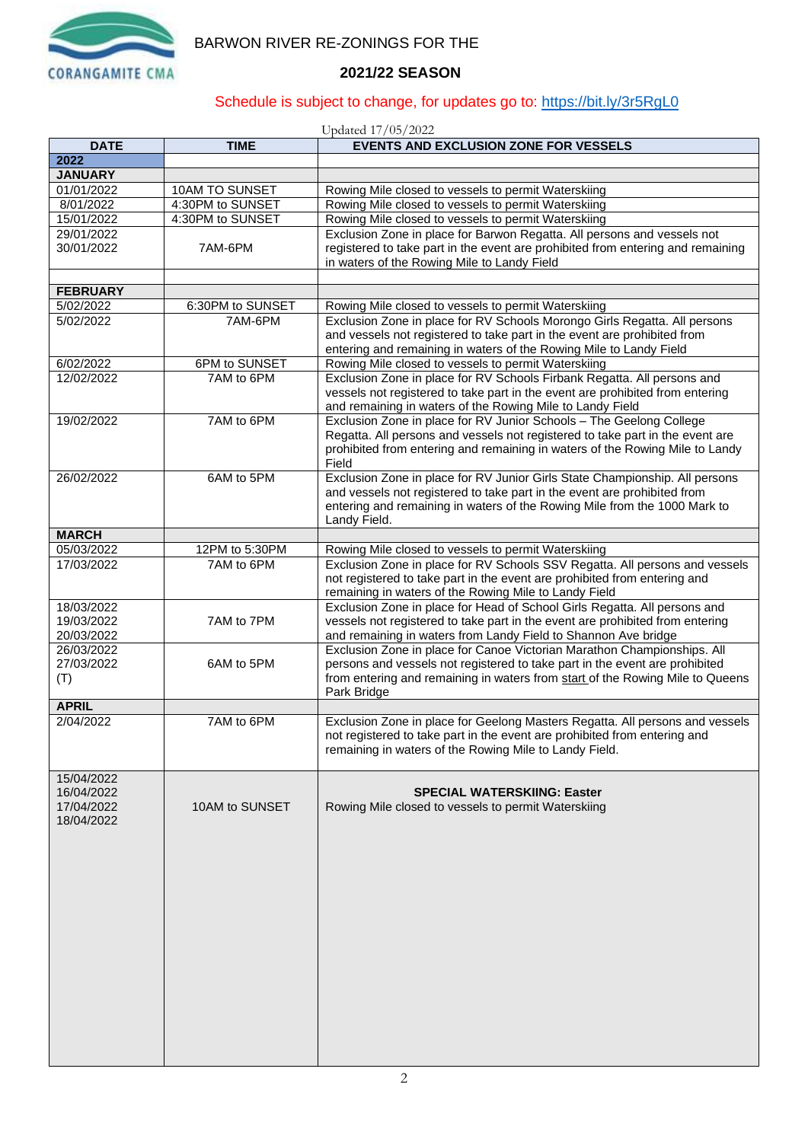

## BARWON RIVER RE-ZONINGS FOR THE

### **2021/22 SEASON**

## Schedule is subject to change, for updates go to:<https://bit.ly/3r5RgL0>

#### Updated 17/05/2022

| <b>DATE</b>     | <b>TIME</b>      | $\frac{1}{2}$<br><b>EVENTS AND EXCLUSION ZONE FOR VESSELS</b>                                                                                         |
|-----------------|------------------|-------------------------------------------------------------------------------------------------------------------------------------------------------|
| 2022            |                  |                                                                                                                                                       |
| <b>JANUARY</b>  |                  |                                                                                                                                                       |
| 01/01/2022      | 10AM TO SUNSET   | Rowing Mile closed to vessels to permit Waterskiing                                                                                                   |
| 8/01/2022       | 4:30PM to SUNSET | Rowing Mile closed to vessels to permit Waterskiing                                                                                                   |
| 15/01/2022      | 4:30PM to SUNSET | Rowing Mile closed to vessels to permit Waterskiing                                                                                                   |
| 29/01/2022      |                  | Exclusion Zone in place for Barwon Regatta. All persons and vessels not                                                                               |
| 30/01/2022      | 7AM-6PM          | registered to take part in the event are prohibited from entering and remaining                                                                       |
|                 |                  | in waters of the Rowing Mile to Landy Field                                                                                                           |
|                 |                  |                                                                                                                                                       |
|                 |                  |                                                                                                                                                       |
| <b>FEBRUARY</b> |                  |                                                                                                                                                       |
| 5/02/2022       | 6:30PM to SUNSET | Rowing Mile closed to vessels to permit Waterskiing                                                                                                   |
| 5/02/2022       | 7AM-6PM          | Exclusion Zone in place for RV Schools Morongo Girls Regatta. All persons<br>and vessels not registered to take part in the event are prohibited from |
|                 |                  | entering and remaining in waters of the Rowing Mile to Landy Field                                                                                    |
| 6/02/2022       | 6PM to SUNSET    | Rowing Mile closed to vessels to permit Waterskiing                                                                                                   |
| 12/02/2022      | 7AM to 6PM       | Exclusion Zone in place for RV Schools Firbank Regatta. All persons and                                                                               |
|                 |                  | vessels not registered to take part in the event are prohibited from entering<br>and remaining in waters of the Rowing Mile to Landy Field            |
| 19/02/2022      | 7AM to 6PM       | Exclusion Zone in place for RV Junior Schools - The Geelong College                                                                                   |
|                 |                  | Regatta. All persons and vessels not registered to take part in the event are                                                                         |
|                 |                  | prohibited from entering and remaining in waters of the Rowing Mile to Landy                                                                          |
|                 |                  | Field                                                                                                                                                 |
| 26/02/2022      | 6AM to 5PM       | Exclusion Zone in place for RV Junior Girls State Championship. All persons                                                                           |
|                 |                  | and vessels not registered to take part in the event are prohibited from                                                                              |
|                 |                  | entering and remaining in waters of the Rowing Mile from the 1000 Mark to                                                                             |
|                 |                  | Landy Field.                                                                                                                                          |
| <b>MARCH</b>    |                  |                                                                                                                                                       |
| 05/03/2022      | 12PM to 5:30PM   | Rowing Mile closed to vessels to permit Waterskiing                                                                                                   |
| 17/03/2022      | 7AM to 6PM       | Exclusion Zone in place for RV Schools SSV Regatta. All persons and vessels                                                                           |
|                 |                  | not registered to take part in the event are prohibited from entering and                                                                             |
|                 |                  | remaining in waters of the Rowing Mile to Landy Field                                                                                                 |
| 18/03/2022      |                  | Exclusion Zone in place for Head of School Girls Regatta. All persons and                                                                             |
| 19/03/2022      | 7AM to 7PM       | vessels not registered to take part in the event are prohibited from entering                                                                         |
| 20/03/2022      |                  | and remaining in waters from Landy Field to Shannon Ave bridge                                                                                        |
| 26/03/2022      |                  | Exclusion Zone in place for Canoe Victorian Marathon Championships. All                                                                               |
| 27/03/2022      | 6AM to 5PM       | persons and vessels not registered to take part in the event are prohibited                                                                           |
| (T)             |                  | from entering and remaining in waters from start of the Rowing Mile to Queens                                                                         |
|                 |                  | Park Bridge                                                                                                                                           |
| <b>APRIL</b>    |                  |                                                                                                                                                       |
| 2/04/2022       | 7AM to 6PM       | Exclusion Zone in place for Geelong Masters Regatta. All persons and vessels                                                                          |
|                 |                  | not registered to take part in the event are prohibited from entering and                                                                             |
|                 |                  | remaining in waters of the Rowing Mile to Landy Field.                                                                                                |
|                 |                  |                                                                                                                                                       |
| 15/04/2022      |                  |                                                                                                                                                       |
| 16/04/2022      |                  | <b>SPECIAL WATERSKIING: Easter</b>                                                                                                                    |
| 17/04/2022      | 10AM to SUNSET   | Rowing Mile closed to vessels to permit Waterskiing                                                                                                   |
| 18/04/2022      |                  |                                                                                                                                                       |
|                 |                  |                                                                                                                                                       |
|                 |                  |                                                                                                                                                       |
|                 |                  |                                                                                                                                                       |
|                 |                  |                                                                                                                                                       |
|                 |                  |                                                                                                                                                       |
|                 |                  |                                                                                                                                                       |
|                 |                  |                                                                                                                                                       |
|                 |                  |                                                                                                                                                       |
|                 |                  |                                                                                                                                                       |
|                 |                  |                                                                                                                                                       |
|                 |                  |                                                                                                                                                       |
|                 |                  |                                                                                                                                                       |
|                 |                  |                                                                                                                                                       |
|                 |                  |                                                                                                                                                       |
|                 |                  |                                                                                                                                                       |
|                 |                  |                                                                                                                                                       |
|                 |                  |                                                                                                                                                       |